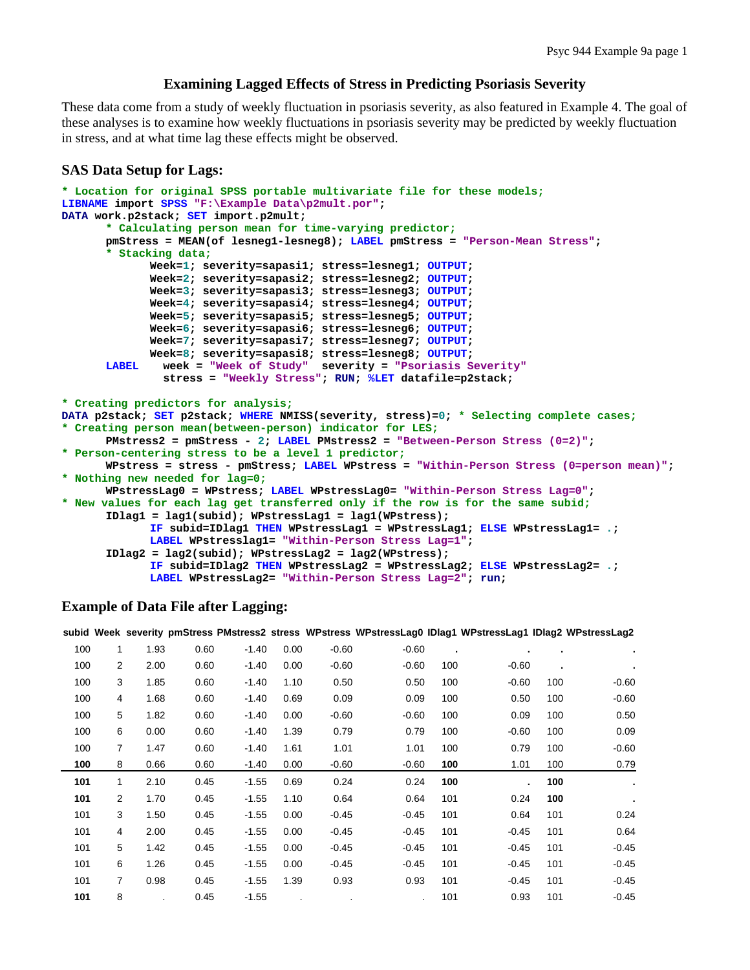## **Examining Lagged Effects of Stress in Predicting Psoriasis Severity**

These data come from a study of weekly fluctuation in psoriasis severity, as also featured in Example 4. The goal of these analyses is to examine how weekly fluctuations in psoriasis severity may be predicted by weekly fluctuation in stress, and at what time lag these effects might be observed.

#### **SAS Data Setup for Lags:**

```
* Location for original SPSS portable multivariate file for these models;
LIBNAME import SPSS "F:\Example Data\p2mult.por"; 
DATA work.p2stack; SET import.p2mult; 
       * Calculating person mean for time-varying predictor;
       pmStress = MEAN(of lesneg1-lesneg8); LABEL pmStress = "Person-Mean Stress"; 
       * Stacking data;
              Week=1; severity=sapasi1; stress=lesneg1; OUTPUT; 
              Week=2; severity=sapasi2; stress=lesneg2; OUTPUT; 
              Week=3; severity=sapasi3; stress=lesneg3; OUTPUT; 
              Week=4; severity=sapasi4; stress=lesneg4; OUTPUT; 
              Week=5; severity=sapasi5; stress=lesneg5; OUTPUT; 
              Week=6; severity=sapasi6; stress=lesneg6; OUTPUT; 
              Week=7; severity=sapasi7; stress=lesneg7; OUTPUT; 
              Week=8; severity=sapasi8; stress=lesneg8; OUTPUT; 
       LABEL week = "Week of Study" severity = "Psoriasis Severity"
                stress = "Weekly Stress"; RUN; %LET datafile=p2stack; 
* Creating predictors for analysis; 
DATA p2stack; SET p2stack; WHERE NMISS(severity, stress)=0; * Selecting complete cases;
* Creating person mean(between-person) indicator for LES;
       PMstress2 = pmStress - 2; LABEL PMstress2 = "Between-Person Stress (0=2)"; 
* Person-centering stress to be a level 1 predictor;
       WPstress = stress - pmStress; LABEL WPstress = "Within-Person Stress (0=person mean)"; 
* Nothing new needed for lag=0;
       WPstressLag0 = WPstress; LABEL WPstressLag0= "Within-Person Stress Lag=0"; 
* New values for each lag get transferred only if the row is for the same subid;
       IDlag1 = lag1(subid); WPstressLag1 = lag1(WPstress); 
              IF subid=IDlag1 THEN WPstressLag1 = WPstressLag1; ELSE WPstressLag1= .; 
              LABEL WPstresslag1= "Within-Person Stress Lag=1"; 
        IDlag2 = lag2(subid); WPstressLag2 = lag2(WPstress); 
              IF subid=IDlag2 THEN WPstressLag2 = WPstressLag2; ELSE WPstressLag2= .; 
              LABEL WPstressLag2= "Within-Person Stress Lag=2"; run;
```
#### **Example of Data File after Lagging:**

|     |   |      |      |         |      |         | subid Week severity pmStress PMstress2 stress WPstress WPstressLag0 IDlag1 WPstressLag1 IDlag2 WPstressLag2 |     |                |                |         |
|-----|---|------|------|---------|------|---------|-------------------------------------------------------------------------------------------------------------|-----|----------------|----------------|---------|
| 100 | 1 | 1.93 | 0.60 | $-1.40$ | 0.00 | $-0.60$ | $-0.60$                                                                                                     | ٠   | $\blacksquare$ | $\blacksquare$ |         |
| 100 | 2 | 2.00 | 0.60 | $-1.40$ | 0.00 | $-0.60$ | $-0.60$                                                                                                     | 100 | $-0.60$        | ٠              |         |
| 100 | 3 | 1.85 | 0.60 | $-1.40$ | 1.10 | 0.50    | 0.50                                                                                                        | 100 | $-0.60$        | 100            | $-0.60$ |
| 100 | 4 | 1.68 | 0.60 | $-1.40$ | 0.69 | 0.09    | 0.09                                                                                                        | 100 | 0.50           | 100            | $-0.60$ |
| 100 | 5 | 1.82 | 0.60 | $-1.40$ | 0.00 | $-0.60$ | $-0.60$                                                                                                     | 100 | 0.09           | 100            | 0.50    |
| 100 | 6 | 0.00 | 0.60 | -1.40   | 1.39 | 0.79    | 0.79                                                                                                        | 100 | $-0.60$        | 100            | 0.09    |
| 100 | 7 | 1.47 | 0.60 | $-1.40$ | 1.61 | 1.01    | 1.01                                                                                                        | 100 | 0.79           | 100            | $-0.60$ |
| 100 | 8 | 0.66 | 0.60 | $-1.40$ | 0.00 | $-0.60$ | $-0.60$                                                                                                     | 100 | 1.01           | 100            | 0.79    |
| 101 | 1 | 2.10 | 0.45 | $-1.55$ | 0.69 | 0.24    | 0.24                                                                                                        | 100 | $\blacksquare$ | 100            |         |
| 101 | 2 | 1.70 | 0.45 | $-1.55$ | 1.10 | 0.64    | 0.64                                                                                                        | 101 | 0.24           | 100            |         |
| 101 | 3 | 1.50 | 0.45 | $-1.55$ | 0.00 | $-0.45$ | $-0.45$                                                                                                     | 101 | 0.64           | 101            | 0.24    |
| 101 | 4 | 2.00 | 0.45 | $-1.55$ | 0.00 | $-0.45$ | $-0.45$                                                                                                     | 101 | $-0.45$        | 101            | 0.64    |

101 5 1.42 0.45 -1.55 0.00 -0.45 -0.45 101 -0.45 101 -0.45 101 6 1.26 0.45 -1.55 0.00 -0.45 -0.45 101 -0.45 101 -0.45 101 7 0.98 0.45 -1.55 1.39 0.93 0.93 101 -0.45 101 -0.45 **101** 8 . 0.45 -1.55 . . . 101 0.93 101 -0.45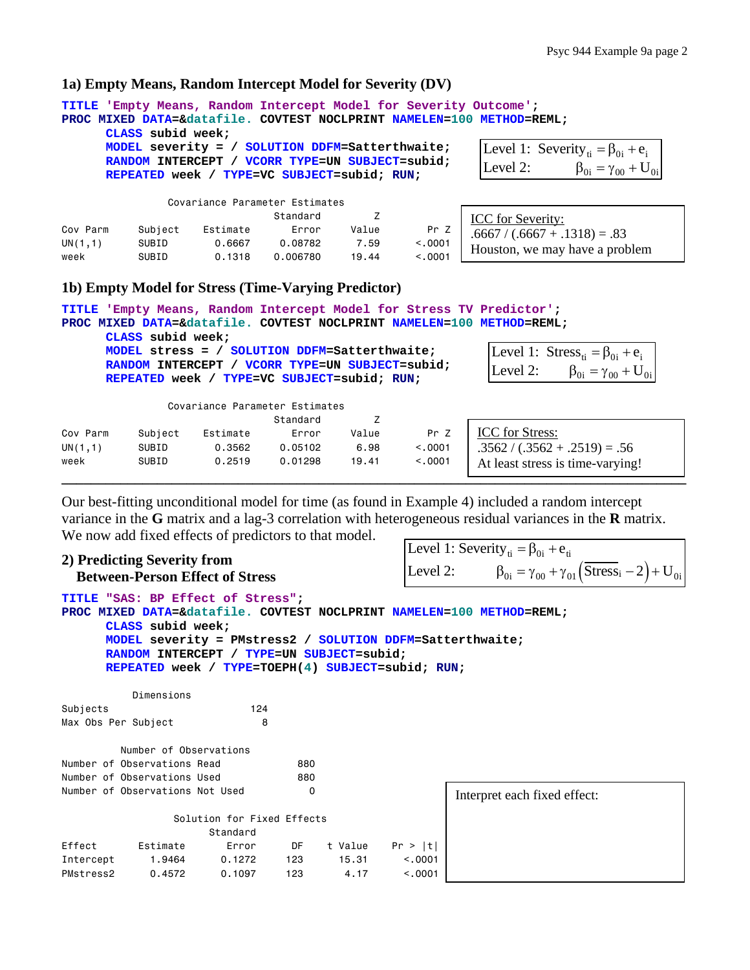### **1a) Empty Means, Random Intercept Model for Severity (DV)**

| 'Empty Means, Random Intercept Model for Severity Outcome';<br>TITLE<br>PROC MIXED DATA=&datafile. COVTEST NOCLPRINT NAMELEN=100 METHOD=REML;<br>CLASS subid week;<br>MODEL severity = / SOLUTION DDFM=Satterthwaite;<br>Level 1: Severity <sub>ti</sub> = $\beta_{0i}$ + $e_i$<br>RANDOM INTERCEPT / VCORR TYPE=UN SUBJECT=subid;<br>$\beta_{0i} = \gamma_{00} + U_{0i}$<br>Level 2:<br>REPEATED week / TYPE=VC SUBJECT=subid; RUN; |                                                                                                                                                   |                                               |          |       |         |                                                      |  |  |  |  |  |  |
|--------------------------------------------------------------------------------------------------------------------------------------------------------------------------------------------------------------------------------------------------------------------------------------------------------------------------------------------------------------------------------------------------------------------------------------|---------------------------------------------------------------------------------------------------------------------------------------------------|-----------------------------------------------|----------|-------|---------|------------------------------------------------------|--|--|--|--|--|--|
|                                                                                                                                                                                                                                                                                                                                                                                                                                      |                                                                                                                                                   | Covariance Parameter Estimates                |          |       |         |                                                      |  |  |  |  |  |  |
|                                                                                                                                                                                                                                                                                                                                                                                                                                      |                                                                                                                                                   |                                               | Standard | 7     |         | <b>ICC</b> for Severity:                             |  |  |  |  |  |  |
| Cov Parm                                                                                                                                                                                                                                                                                                                                                                                                                             | Subject                                                                                                                                           | Estimate                                      | Error    | Value | Pr Z    | $.6667 / (.6667 + .1318) = .83$                      |  |  |  |  |  |  |
| UN(1,1)                                                                                                                                                                                                                                                                                                                                                                                                                              | SUBID                                                                                                                                             | 0.6667                                        | 0.08782  | 7.59  | < 0.001 |                                                      |  |  |  |  |  |  |
| week                                                                                                                                                                                                                                                                                                                                                                                                                                 | SUBID                                                                                                                                             | 0.1318                                        | 0.006780 | 19.44 | < 0.001 | Houston, we may have a problem                       |  |  |  |  |  |  |
| 1b) Empty Model for Stress (Time-Varying Predictor)                                                                                                                                                                                                                                                                                                                                                                                  |                                                                                                                                                   |                                               |          |       |         |                                                      |  |  |  |  |  |  |
| TITLE 'Empty Means, Random Intercept Model for Stress TV Predictor';<br>PROC MIXED DATA=&datafile. COVTEST NOCLPRINT NAMELEN=100 METHOD=REML;                                                                                                                                                                                                                                                                                        |                                                                                                                                                   |                                               |          |       |         |                                                      |  |  |  |  |  |  |
|                                                                                                                                                                                                                                                                                                                                                                                                                                      | CLASS subid week;                                                                                                                                 |                                               |          |       |         |                                                      |  |  |  |  |  |  |
|                                                                                                                                                                                                                                                                                                                                                                                                                                      |                                                                                                                                                   | MODEL stress = / SOLUTION DDFM=Satterthwaite; |          |       |         | Level 1: Stress <sub>ti</sub> = $\beta_{0i}$ + $e_i$ |  |  |  |  |  |  |
|                                                                                                                                                                                                                                                                                                                                                                                                                                      | RANDOM INTERCEPT / VCORR TYPE=UN SUBJECT=subid;<br>$\beta_{0i} = \gamma_{00} + U_{0i}$<br>Level 2:<br>REPEATED week / TYPE=VC SUBJECT=subid; RUN; |                                               |          |       |         |                                                      |  |  |  |  |  |  |
|                                                                                                                                                                                                                                                                                                                                                                                                                                      |                                                                                                                                                   |                                               |          |       |         |                                                      |  |  |  |  |  |  |
|                                                                                                                                                                                                                                                                                                                                                                                                                                      |                                                                                                                                                   | Covariance Parameter Estimates                |          |       |         |                                                      |  |  |  |  |  |  |
|                                                                                                                                                                                                                                                                                                                                                                                                                                      | Z<br>Standard                                                                                                                                     |                                               |          |       |         |                                                      |  |  |  |  |  |  |

|          |         |          | Standard |       |          |                                  |
|----------|---------|----------|----------|-------|----------|----------------------------------|
| Cov Parm | Subject | Estimate | Error    | Value | Pr Z     | <b>ICC</b> for Stress:           |
| UN(1,1)  | SUBID   | 0.3562   | 0.05102  | 6.98  | < 0.0001 | $.3562 / (.3562 + .2519) = .56$  |
| week     | SUBID   | 0.2519   | 0.01298  | 19,41 | < 0.0001 | At least stress is time-varying! |
|          |         |          |          |       |          |                                  |

Our best-fitting unconditional model for time (as found in Example 4) included a random intercept variance in the **G** matrix and a lag-3 correlation with heterogeneous residual variances in the **R** matrix. We now add fixed effects of predictors to that model.

#### **2) Predicting Severity from Between-Person Effect of Stress**

Level 2:  $\beta_{0i} = \gamma_{00} + \gamma_{01} (Stress_i - 2) + U_{0i}$ Level 1: Severity<sub>ti</sub> =  $\beta_{0i}$  +  $e_{ti}$ 

```
TITLE "SAS: BP Effect of Stress"; 
PROC MIXED DATA=&datafile. COVTEST NOCLPRINT NAMELEN=100 METHOD=REML; 
      CLASS subid week; 
      MODEL severity = PMstress2 / SOLUTION DDFM=Satterthwaite; 
     RANDOM INTERCEPT / TYPE=UN SUBJECT=subid; 
      REPEATED week / TYPE=TOEPH(4) SUBJECT=subid; RUN; 
          Dimensions 
Subjects 124 
Max Obs Per Subject 8
        Number of Observations 
Number of Observations Read 880
Number of Observations Used 680
Number of Observations Not Used 0
                Solution for Fixed Effects 
                    Standard 
Effect Estimate Error DF t Value Pr > |t| 
Intercept 1.9464 0.1272 123 15.31 <.0001 
PMstress2 0.4572 0.1097 123 4.17 <.0001 
                                                    Interpret each fixed effect:
```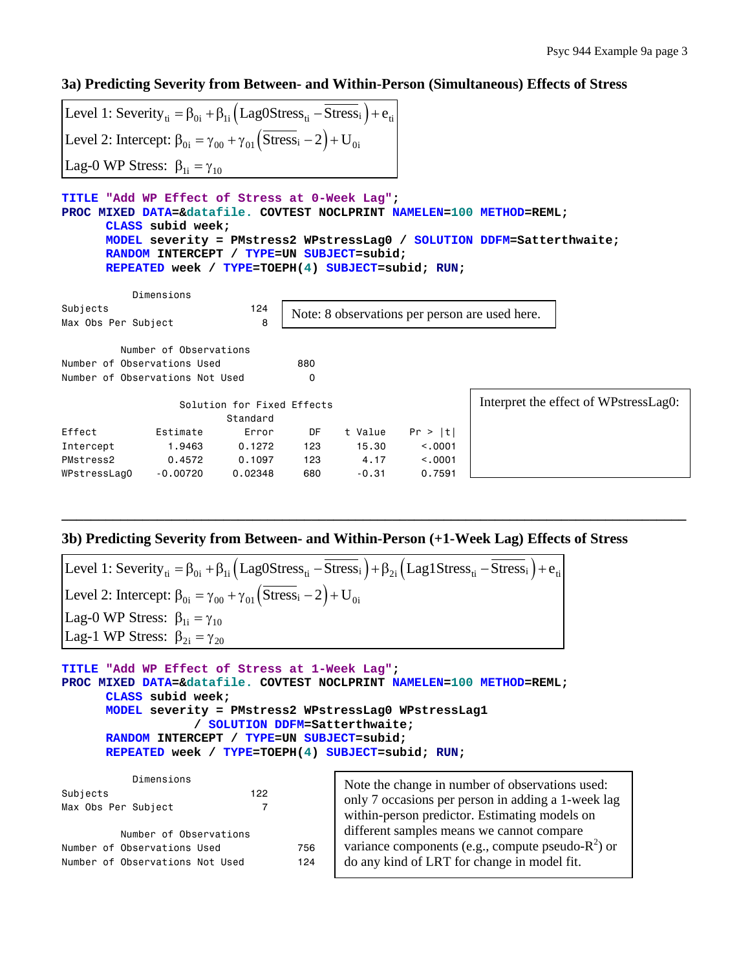**3a) Predicting Severity from Between- and Within-Person (Simultaneous) Effects of Stress** 

| Level 1: Severity <sub>ti</sub> = $\beta_{0i}$ + $\beta_{1i}$ (Lag0Stress <sub>ti</sub> - Stress <sub>i</sub> ) + $e_{ti}$                                                                                                                                                                                               |                        |                                        |     |                                       |         |                                                |  |  |  |  |  |
|--------------------------------------------------------------------------------------------------------------------------------------------------------------------------------------------------------------------------------------------------------------------------------------------------------------------------|------------------------|----------------------------------------|-----|---------------------------------------|---------|------------------------------------------------|--|--|--|--|--|
| Level 2: Intercept: $\beta_{0i} = \gamma_{00} + \gamma_{01} (\overline{\text{Stress}}_i - 2) + U_{0i}$                                                                                                                                                                                                                   |                        |                                        |     |                                       |         |                                                |  |  |  |  |  |
| Lag-0 WP Stress: $\beta_{1i} = \gamma_{10}$                                                                                                                                                                                                                                                                              |                        |                                        |     |                                       |         |                                                |  |  |  |  |  |
| TITLE "Add WP Effect of Stress at 0-Week Laq";<br>PROC MIXED DATA=&datafile. COVTEST NOCLPRINT NAMELEN=100 METHOD=REML;<br>CLASS subid week;<br>MODEL severity = PMstress2 WPstressLag0 / SOLUTION DDFM=Satterthwaite;<br>RANDOM INTERCEPT / TYPE=UN SUBJECT=subid;<br>REPEATED week / TYPE=TOEPH(4) SUBJECT=subid; RUN; |                        |                                        |     |                                       |         |                                                |  |  |  |  |  |
|                                                                                                                                                                                                                                                                                                                          | Dimensions             |                                        |     |                                       |         |                                                |  |  |  |  |  |
| Subjects<br>Max Obs Per Subject                                                                                                                                                                                                                                                                                          |                        | 124<br>8                               |     |                                       |         | Note: 8 observations per person are used here. |  |  |  |  |  |
|                                                                                                                                                                                                                                                                                                                          | Number of Observations |                                        |     |                                       |         |                                                |  |  |  |  |  |
| Number of Observations Used                                                                                                                                                                                                                                                                                              |                        |                                        | 880 |                                       |         |                                                |  |  |  |  |  |
| Number of Observations Not Used                                                                                                                                                                                                                                                                                          |                        |                                        | 0   |                                       |         |                                                |  |  |  |  |  |
|                                                                                                                                                                                                                                                                                                                          |                        | Solution for Fixed Effects<br>Standard |     | Interpret the effect of WPstressLag0: |         |                                                |  |  |  |  |  |
| Effect                                                                                                                                                                                                                                                                                                                   | Estimate               | Error                                  | DF  | t Value                               | Pr >  t |                                                |  |  |  |  |  |
| Intercept                                                                                                                                                                                                                                                                                                                | 1,9463                 | 0.1272                                 | 123 | 15.30                                 | < 0.001 |                                                |  |  |  |  |  |
| PMstress2                                                                                                                                                                                                                                                                                                                | 0.4572                 | 0.1097                                 | 123 | 4.17                                  | < 0.001 |                                                |  |  |  |  |  |
| WPstressLag0                                                                                                                                                                                                                                                                                                             | $-0.00720$             | 0.02348                                | 680 | $-0.31$                               | 0.7591  |                                                |  |  |  |  |  |

# **3b) Predicting Severity from Between- and Within-Person (+1-Week Lag) Effects of Stress**

**\_\_\_\_\_\_\_\_\_\_\_\_\_\_\_\_\_\_\_\_\_\_\_\_\_\_\_\_\_\_\_\_\_\_\_\_\_\_\_\_\_\_\_\_\_\_\_\_\_\_\_\_\_\_\_\_\_\_\_\_\_\_\_\_\_\_\_\_\_\_\_\_\_\_\_\_\_\_\_\_\_\_\_\_\_** 

| Level 1: Severity <sub>ti</sub> = $\beta_{0i}$ + $\beta_{1i}$ (Lag0Stress <sub>ti</sub> - $\overline{Stress}_i$ ) + $\beta_{2i}$ (Lag1Stress <sub>ti</sub> - $\overline{Stress}_i$ ) + $e_{ti}$ |
|-------------------------------------------------------------------------------------------------------------------------------------------------------------------------------------------------|
| [Level 2: Intercept: $\beta_{0i} = \gamma_{00} + \gamma_{01} (\overline{Stress}_i - 2) + U_{0i}$                                                                                                |
| Lag-0 WP Stress: $\beta_{1i} = \gamma_{10}$                                                                                                                                                     |
| Lag-1 WP Stress: $\beta_{2i} = \gamma_{20}$                                                                                                                                                     |

**TITLE "Add WP Effect of Stress at 1-Week Lag"; PROC MIXED DATA=&datafile. COVTEST NOCLPRINT NAMELEN=100 METHOD=REML; CLASS subid week; MODEL severity = PMstress2 WPstressLag0 WPstressLag1 / SOLUTION DDFM=Satterthwaite; RANDOM INTERCEPT / TYPE=UN SUBJECT=subid; REPEATED week / TYPE=TOEPH(4) SUBJECT=subid; RUN;** 

| Dimensions<br>Subjects<br>Max Obs Per Subject | 122                    |     | Note the change in number of observations used:<br>only 7 occasions per person in adding a 1-week lag<br>within-person predictor. Estimating models on |  |  |
|-----------------------------------------------|------------------------|-----|--------------------------------------------------------------------------------------------------------------------------------------------------------|--|--|
|                                               | Number of Observations |     | different samples means we cannot compare                                                                                                              |  |  |
| Number of Observations Used                   |                        | 756 | variance components (e.g., compute pseudo- $R^2$ ) or                                                                                                  |  |  |
| Number of Observations Not Used               |                        | 124 | do any kind of LRT for change in model fit.                                                                                                            |  |  |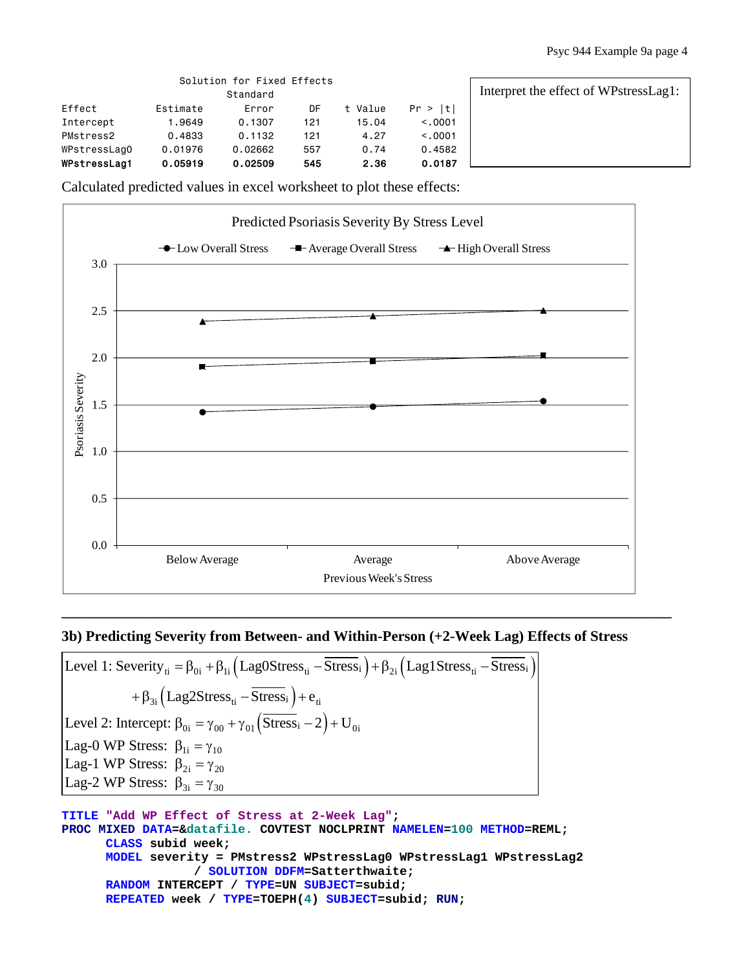|              | Solution for Fixed Effects | Interpret the effect of WPstressLag1: |     |         |          |  |
|--------------|----------------------------|---------------------------------------|-----|---------|----------|--|
| Effect       | Estimate                   | Error                                 | DF  | t Value | Pr >  t  |  |
| Intercept    | 9649 ، ا                   | 0.1307                                | 121 | 15.04   | < 0.0001 |  |
| PMstress2    | 0.4833                     | 0.1132                                | 121 | 4.27    | < 0.0001 |  |
| WPstressLagO | 0.01976                    | 0.02662                               | 557 | 0.74    | 0.4582   |  |
| WPstressLag1 | 0.05919                    | 0.02509                               | 545 | 2.36    | 0.0187   |  |

Calculated predicted values in excel worksheet to plot these effects:



# **3b) Predicting Severity from Between- and Within-Person (+2-Week Lag) Effects of Stress**

**\_\_\_\_\_\_\_\_\_\_\_\_\_\_\_\_\_\_\_\_\_\_\_\_\_\_\_\_\_\_\_\_\_\_\_\_\_\_\_\_\_\_\_\_\_\_\_\_\_\_\_\_\_\_\_\_\_\_\_\_\_\_\_\_\_\_\_\_\_\_\_\_\_\_\_\_\_\_\_\_\_\_\_** 

Level 1: Severity<sub>ti</sub> =  $\beta_{0i}$  +  $\beta_{1i}$  (Lag0Stress<sub>ti</sub> - Stress<sub>i</sub>) +  $\beta_{2i}$  (Lag1Stress<sub>ti</sub> - Stress<sub>i</sub>)  $+ \beta_{3i} (\text{Lag2Stress}_{ti} - \text{Stress}_{i}) + e_{ti}$ Level 2: Intercept:  $\beta_{0i} = \gamma_{00} + \gamma_{01} (Stress_i - 2) + U_{0i}$ Lag-0 WP Stress:  $\beta_{1i} = \gamma_{10}$ Lag-1 WP Stress:  $\beta_{2i} = \gamma_{20}$ Lag-2 WP Stress:  $\beta_{3i} = \gamma_{30}$ 

```
TITLE "Add WP Effect of Stress at 2-Week Lag"; 
PROC MIXED DATA=&datafile. COVTEST NOCLPRINT NAMELEN=100 METHOD=REML; 
      CLASS subid week; 
      MODEL severity = PMstress2 WPstressLag0 WPstressLag1 WPstressLag2 
                   / SOLUTION DDFM=Satterthwaite; 
      RANDOM INTERCEPT / TYPE=UN SUBJECT=subid; 
      REPEATED week / TYPE=TOEPH(4) SUBJECT=subid; RUN;
```